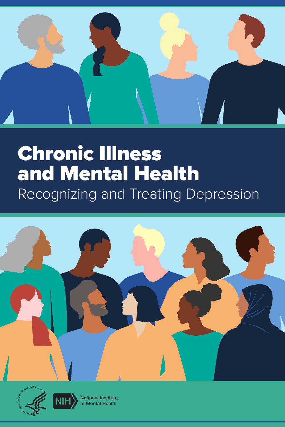

# Chronic Illness and Mental Health Recognizing and Treating Depression







National Institute of Mental Health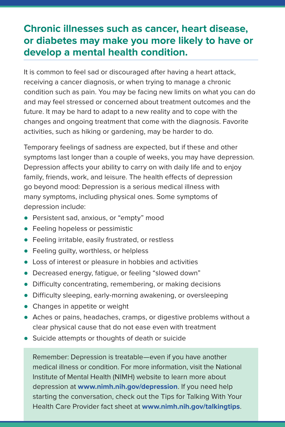#### **Chronic illnesses such as cancer, heart disease, or diabetes may make you more likely to have or develop a mental health condition.**

It is common to feel sad or discouraged after having a heart attack, receiving a cancer diagnosis, or when trying to manage a chronic condition such as pain. You may be facing new limits on what you can do and may feel stressed or concerned about treatment outcomes and the future. It may be hard to adapt to a new reality and to cope with the changes and ongoing treatment that come with the diagnosis. Favorite activities, such as hiking or gardening, may be harder to do.

Temporary feelings of sadness are expected, but if these and other symptoms last longer than a couple of weeks, you may have depression. Depression affects your ability to carry on with daily life and to enjoy family, friends, work, and leisure. The health effects of depression go beyond mood: Depression is a serious medical illness with many symptoms, including physical ones. Some symptoms of depression include:

- Persistent sad, anxious, or "empty" mood
- **•** Feeling hopeless or pessimistic
- Feeling irritable, easily frustrated, or restless
- Feeling guilty, worthless, or helpless
- Loss of interest or pleasure in hobbies and activities
- Decreased energy, fatigue, or feeling "slowed down"
- Difficulty concentrating, remembering, or making decisions
- Difficulty sleeping, early-morning awakening, or oversleeping
- Changes in appetite or weight
- Aches or pains, headaches, cramps, or digestive problems without a clear physical cause that do not ease even with treatment
- Suicide attempts or thoughts of death or suicide

Remember: Depression is treatable—even if you have another medical illness or condition. For more information, visit the National Institute of Mental Health (NIMH) website to learn more about depression at **[www.nimh.nih.gov/depression](https://www.nimh.nih.gov/depression)**. If you need help starting the conversation, check out the Tips for Talking With Your Health Care Provider fact sheet at **[www.nimh.nih.gov/talkingtips](https://www.nimh.nih.gov/talkingtips)**.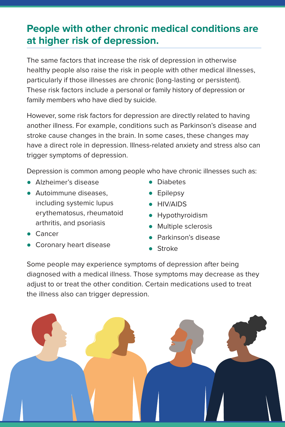### **People with other chronic medical conditions are at higher risk of depression.**

The same factors that increase the risk of depression in otherwise healthy people also raise the risk in people with other medical illnesses, particularly if those illnesses are chronic (long-lasting or persistent). These risk factors include a personal or family history of depression or family members who have died by suicide.

However, some risk factors for depression are directly related to having another illness. For example, conditions such as Parkinson's disease and stroke cause changes in the brain. In some cases, these changes may have a direct role in depression. Illness-related anxiety and stress also can trigger symptoms of depression.

Depression is common among people who have chronic illnesses such as:

- Alzheimer's disease
- Autoimmune diseases, including systemic lupus erythematosus, rheumatoid arthritis, and psoriasis
- Diabetes
- Epilepsy
- HIV/AIDS
- Hypothyroidism
- Multiple sclerosis
- Parkinson's disease
- Stroke

Some people may experience symptoms of depression after being diagnosed with a medical illness. Those symptoms may decrease as they adjust to or treat the other condition. Certain medications used to treat the illness also can trigger depression.



- Cancer
- Coronary heart disease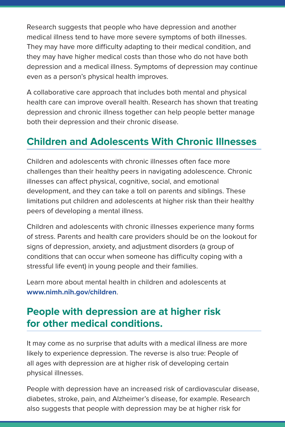Research suggests that people who have depression and another medical illness tend to have more severe symptoms of both illnesses. They may have more difficulty adapting to their medical condition, and they may have higher medical costs than those who do not have both depression and a medical illness. Symptoms of depression may continue even as a person's physical health improves.

A collaborative care approach that includes both mental and physical health care can improve overall health. Research has shown that treating depression and chronic illness together can help people better manage both their depression and their chronic disease.

#### **Children and Adolescents With Chronic Illnesses**

Children and adolescents with chronic illnesses often face more challenges than their healthy peers in navigating adolescence. Chronic illnesses can affect physical, cognitive, social, and emotional development, and they can take a toll on parents and siblings. These limitations put children and adolescents at higher risk than their healthy peers of developing a mental illness.

Children and adolescents with chronic illnesses experience many forms of stress. Parents and health care providers should be on the lookout for signs of depression, anxiety, and adjustment disorders (a group of conditions that can occur when someone has difficulty coping with a stressful life event) in young people and their families.

Learn more about mental health in children and adolescents at **[www.nimh.nih.gov/children](https://www.nimh.nih.gov/children)**.

#### **People with depression are at higher risk for other medical conditions.**

It may come as no surprise that adults with a medical illness are more likely to experience depression. The reverse is also true: People of all ages with depression are at higher risk of developing certain physical illnesses.

People with depression have an increased risk of cardiovascular disease, diabetes, stroke, pain, and Alzheimer's disease, for example. Research also suggests that people with depression may be at higher risk for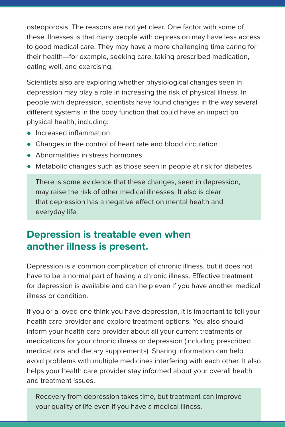osteoporosis. The reasons are not yet clear. One factor with some of these illnesses is that many people with depression may have less access to good medical care. They may have a more challenging time caring for their health—for example, seeking care, taking prescribed medication, eating well, and exercising.

Scientists also are exploring whether physiological changes seen in depression may play a role in increasing the risk of physical illness. In people with depression, scientists have found changes in the way several different systems in the body function that could have an impact on physical health, including:

- Increased inflammation
- Changes in the control of heart rate and blood circulation
- Abnormalities in stress hormones
- Metabolic changes such as those seen in people at risk for diabetes

There is some evidence that these changes, seen in depression, may raise the risk of other medical illnesses. It also is clear that depression has a negative effect on mental health and everyday life.

#### **Depression is treatable even when another illness is present.**

Depression is a common complication of chronic illness, but it does not have to be a normal part of having a chronic illness. Effective treatment for depression is available and can help even if you have another medical illness or condition.

If you or a loved one think you have depression, it is important to tell your health care provider and explore treatment options. You also should inform your health care provider about all your current treatments or medications for your chronic illness or depression (including prescribed medications and dietary supplements). Sharing information can help avoid problems with multiple medicines interfering with each other. It also helps your health care provider stay informed about your overall health and treatment issues.

Recovery from depression takes time, but treatment can improve your quality of life even if you have a medical illness.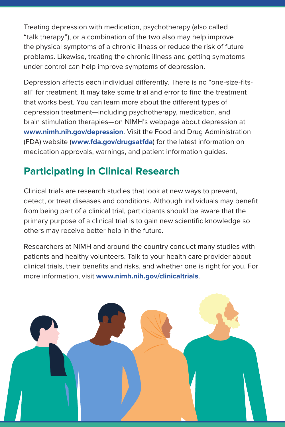Treating depression with medication, psychotherapy (also called "talk therapy"), or a combination of the two also may help improve the physical symptoms of a chronic illness or reduce the risk of future problems. Likewise, treating the chronic illness and getting symptoms under control can help improve symptoms of depression.

Depression affects each individual differently. There is no "one-size-fitsall" for treatment. It may take some trial and error to find the treatment that works best. You can learn more about the different types of depression treatment—including psychotherapy, medication, and brain stimulation therapies—on NIMH's webpage about depression at **[www.nimh.nih.gov/depression](https://www.nimh.nih.gov/depression)**. Visit the Food and Drug Administration (FDA) website (**[www.fda.gov/drugsatfda](https://www.fda.gov/drugsatfda)**) for the latest information on medication approvals, warnings, and patient information guides.

# **Participating in Clinical Research**

Clinical trials are research studies that look at new ways to prevent, detect, or treat diseases and conditions. Although individuals may benefit from being part of a clinical trial, participants should be aware that the primary purpose of a clinical trial is to gain new scientific knowledge so others may receive better help in the future.

Researchers at NIMH and around the country conduct many studies with patients and healthy volunteers. Talk to your health care provider about clinical trials, their benefits and risks, and whether one is right for you. For more information, visit **[www.nimh.nih.gov/clinicaltrials](https://www.nimh.nih.gov/clinicaltrials)**.

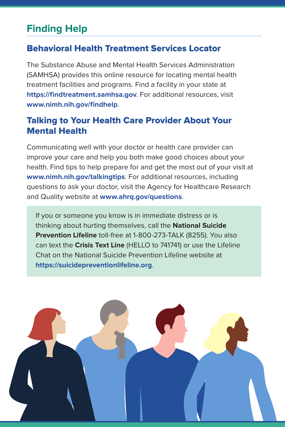### **Finding Help**

#### Behavioral Health Treatment Services Locator

The Substance Abuse and Mental Health Services Administration (SAMHSA) provides this online resource for locating mental health treatment facilities and programs. Find a facility in your state at **<https://findtreatment.samhsa.gov>**. For additional resources, visit **[www.nimh.nih.gov/findhelp](https://www.nimh.nih.gov/findhelp)**.

#### Talking to Your Health Care Provider About Your Mental Health

Communicating well with your doctor or health care provider can improve your care and help you both make good choices about your health. Find tips to help prepare for and get the most out of your visit at **[www.nimh.nih.gov/talkingtips](https://www.nimh.nih.gov/talkingtips)**. For additional resources, including questions to ask your doctor, visit the Agency for Healthcare Research and Quality website at **[www.ahrq.gov/questions](https://www.ahrq.gov/questions/index.html)**.

If you or someone you know is in immediate distress or is thinking about hurting themselves, call the **National Suicide Prevention Lifeline** toll-free at 1-800-273-TALK (8255). You also can text the **Crisis Text Line** (HELLO to 741741) or use the Lifeline Chat on the National Suicide Prevention Lifeline website at **<https://suicidepreventionlifeline.org>**.